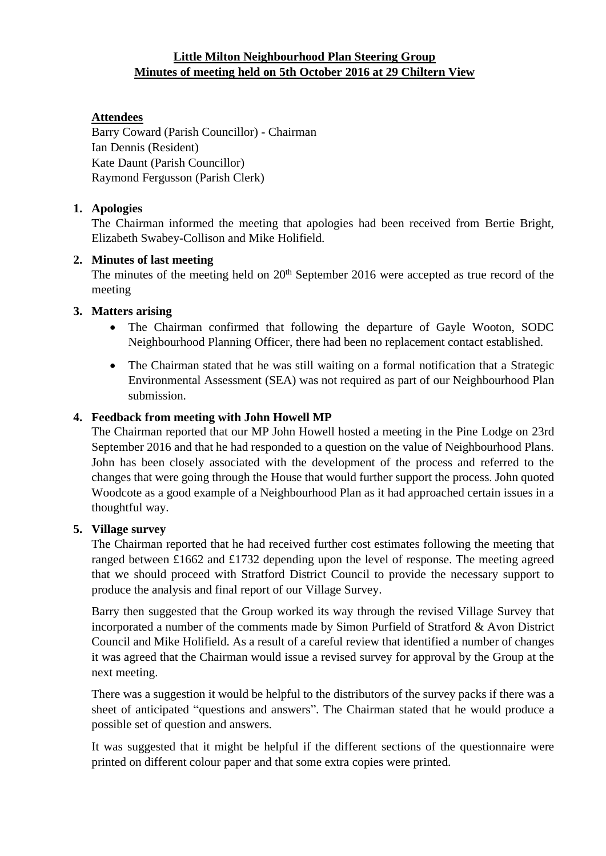## **Little Milton Neighbourhood Plan Steering Group Minutes of meeting held on 5th October 2016 at 29 Chiltern View**

# **Attendees**

Barry Coward (Parish Councillor) - Chairman Ian Dennis (Resident) Kate Daunt (Parish Councillor) Raymond Fergusson (Parish Clerk)

## **1. Apologies**

The Chairman informed the meeting that apologies had been received from Bertie Bright, Elizabeth Swabey-Collison and Mike Holifield.

### **2. Minutes of last meeting**

The minutes of the meeting held on 20<sup>th</sup> September 2016 were accepted as true record of the meeting

### **3. Matters arising**

- The Chairman confirmed that following the departure of Gayle Wooton, SODC Neighbourhood Planning Officer, there had been no replacement contact established.
- The Chairman stated that he was still waiting on a formal notification that a Strategic Environmental Assessment (SEA) was not required as part of our Neighbourhood Plan submission.

### **4. Feedback from meeting with John Howell MP**

The Chairman reported that our MP John Howell hosted a meeting in the Pine Lodge on 23rd September 2016 and that he had responded to a question on the value of Neighbourhood Plans. John has been closely associated with the development of the process and referred to the changes that were going through the House that would further support the process. John quoted Woodcote as a good example of a Neighbourhood Plan as it had approached certain issues in a thoughtful way.

#### **5. Village survey**

The Chairman reported that he had received further cost estimates following the meeting that ranged between £1662 and £1732 depending upon the level of response. The meeting agreed that we should proceed with Stratford District Council to provide the necessary support to produce the analysis and final report of our Village Survey.

Barry then suggested that the Group worked its way through the revised Village Survey that incorporated a number of the comments made by Simon Purfield of Stratford & Avon District Council and Mike Holifield. As a result of a careful review that identified a number of changes it was agreed that the Chairman would issue a revised survey for approval by the Group at the next meeting.

There was a suggestion it would be helpful to the distributors of the survey packs if there was a sheet of anticipated "questions and answers". The Chairman stated that he would produce a possible set of question and answers.

It was suggested that it might be helpful if the different sections of the questionnaire were printed on different colour paper and that some extra copies were printed.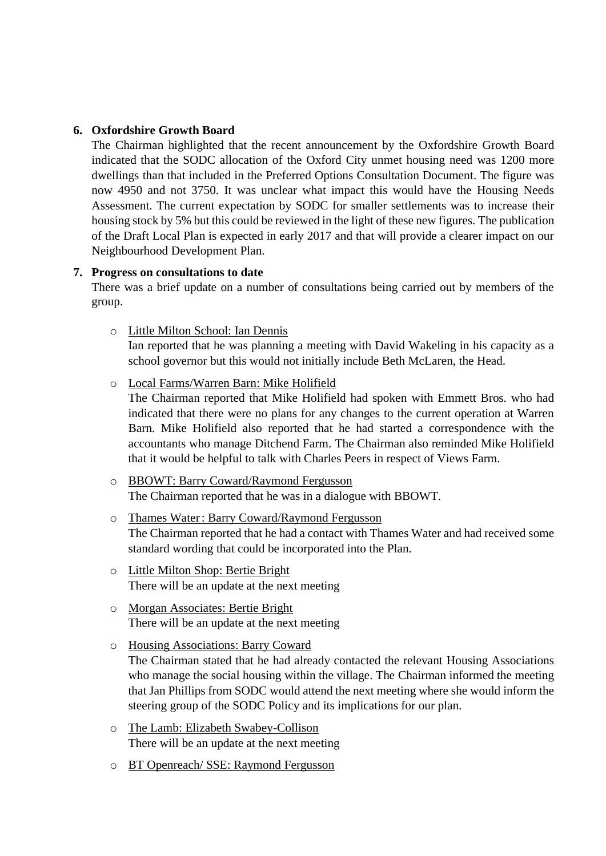### **6. Oxfordshire Growth Board**

The Chairman highlighted that the recent announcement by the Oxfordshire Growth Board indicated that the SODC allocation of the Oxford City unmet housing need was 1200 more dwellings than that included in the Preferred Options Consultation Document. The figure was now 4950 and not 3750. It was unclear what impact this would have the Housing Needs Assessment. The current expectation by SODC for smaller settlements was to increase their housing stock by 5% but this could be reviewed in the light of these new figures. The publication of the Draft Local Plan is expected in early 2017 and that will provide a clearer impact on our Neighbourhood Development Plan.

### **7. Progress on consultations to date**

There was a brief update on a number of consultations being carried out by members of the group.

### o Little Milton School: Ian Dennis

Ian reported that he was planning a meeting with David Wakeling in his capacity as a school governor but this would not initially include Beth McLaren, the Head.

o Local Farms/Warren Barn: Mike Holifield

The Chairman reported that Mike Holifield had spoken with Emmett Bros. who had indicated that there were no plans for any changes to the current operation at Warren Barn. Mike Holifield also reported that he had started a correspondence with the accountants who manage Ditchend Farm. The Chairman also reminded Mike Holifield that it would be helpful to talk with Charles Peers in respect of Views Farm.

- o BBOWT: Barry Coward/Raymond Fergusson The Chairman reported that he was in a dialogue with BBOWT.
- o Thames Water: Barry Coward/Raymond Fergusson The Chairman reported that he had a contact with Thames Water and had received some standard wording that could be incorporated into the Plan.
- o Little Milton Shop: Bertie Bright There will be an update at the next meeting
- o Morgan Associates: Bertie Bright There will be an update at the next meeting
- o Housing Associations: Barry Coward The Chairman stated that he had already contacted the relevant Housing Associations who manage the social housing within the village. The Chairman informed the meeting that Jan Phillips from SODC would attend the next meeting where she would inform the steering group of the SODC Policy and its implications for our plan.
- o The Lamb: Elizabeth Swabey-Collison There will be an update at the next meeting
- o BT Openreach/ SSE: Raymond Fergusson